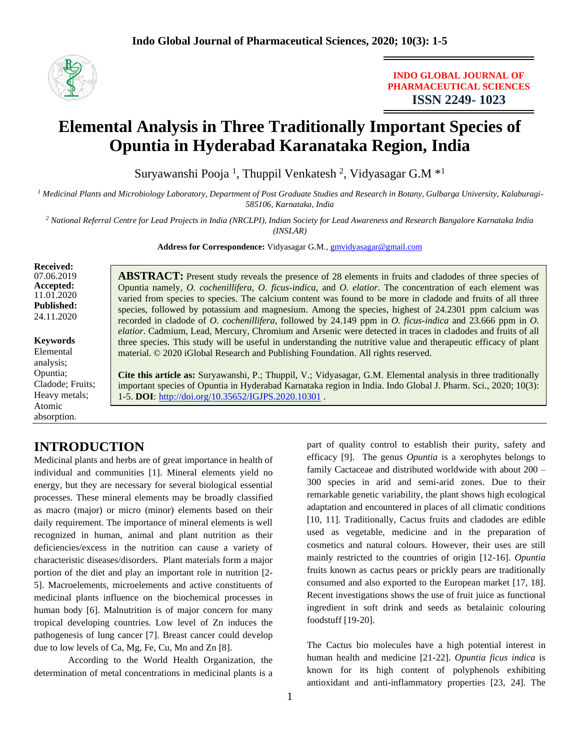

### **INDO GLOBAL JOURNAL OF PHARMACEUTICAL SCIENCES ISSN 2249- 1023**

# **Elemental Analysis in Three Traditionally Important Species of Opuntia in Hyderabad Karanataka Region, India**

Suryawanshi Pooja<sup>1</sup>, Thuppil Venkatesh<sup>2</sup>, Vidyasagar G.M<sup>\*1</sup>

*<sup>1</sup> Medicinal Plants and Microbiology Laboratory, Department of Post Graduate Studies and Research in Botany, Gulbarga University, Kalaburagi-585106, Karnataka, India*

*<sup>2</sup> National Referral Centre for Lead Projects in India (NRCLPI), Indian Society for Lead Awareness and Research Bangalore Karnataka India (INSLAR)*

Address for Correspondence: Vidyasagar G.M., **[gmvidyasagar@gmail.com](mailto:gmvidyasagar@gmail.com)** 

**Received:**  07.06.2019 **Accepted:**  11.01.2020 **Published:** 24.11.2020

**Keywords** Elemental analysis; Opuntia; Cladode; Fruits; Heavy metals; Atomic absorption.

**ABSTRACT:** Present study reveals the presence of 28 elements in fruits and cladodes of three species of Opuntia namely, *O. cochenillifera*, *O. ficus-indica*, and *O. elatior*. The concentration of each element was varied from species to species. The calcium content was found to be more in cladode and fruits of all three species, followed by potassium and magnesium. Among the species, highest of 24.2301 ppm calcium was recorded in cladode of *O. cochenillifera*, followed by 24.149 ppm in *O. ficus-indica* and 23.666 ppm in *O. elatior*. Cadmium, Lead, Mercury, Chromium and Arsenic were detected in traces in cladodes and fruits of all three species. This study will be useful in understanding the nutritive value and therapeutic efficacy of plant material. © 2020 iGlobal Research and Publishing Foundation. All rights reserved.

**Cite this article as:** Suryawanshi, P.; Thuppil, V.; Vidyasagar, G.M. Elemental analysis in three traditionally important species of Opuntia in Hyderabad Karnataka region in India. Indo Global J. Pharm. Sci., 2020; 10(3): 1-5. **DOI**: <http://doi.org/10.35652/IGJPS.2020.10301> .

# **INTRODUCTION**

Medicinal plants and herbs are of great importance in health of individual and communities [1]. Mineral elements yield no energy, but they are necessary for several biological essential processes. These mineral elements may be broadly classified as macro (major) or micro (minor) elements based on their daily requirement. The importance of mineral elements is well recognized in human, animal and plant nutrition as their deficiencies/excess in the nutrition can cause a variety of characteristic diseases/disorders. Plant materials form a major portion of the diet and play an important role in nutrition [2- 5]. Macroelements, microelements and active constituents of medicinal plants influence on the biochemical processes in human body [6]. Malnutrition is of major concern for many tropical developing countries. Low level of Zn induces the pathogenesis of lung cancer [7]. Breast cancer could develop due to low levels of Ca, Mg, Fe, Cu, Mn and Zn [8].

According to the World Health Organization, the determination of metal concentrations in medicinal plants is a part of quality control to establish their purity, safety and efficacy [9]. The genus *Opuntia* is a xerophytes belongs to family Cactaceae and distributed worldwide with about 200 – 300 species in arid and semi-arid zones. Due to their remarkable genetic variability, the plant shows high ecological adaptation and encountered in places of all climatic conditions [10, 11]. Traditionally, Cactus fruits and cladodes are edible used as vegetable, medicine and in the preparation of cosmetics and natural colours. However, their uses are still mainly restricted to the countries of origin [12-16]. *Opuntia* fruits known as cactus pears or prickly pears are traditionally consumed and also exported to the European market [17, 18]. Recent investigations shows the use of fruit juice as functional ingredient in soft drink and seeds as betalainic colouring foodstuff [19-20].

The Cactus bio molecules have a high potential interest in human health and medicine [21-22]. *Opuntia ficus indica* is known for its high content of polyphenols exhibiting antioxidant and anti-inflammatory properties [23, 24]. The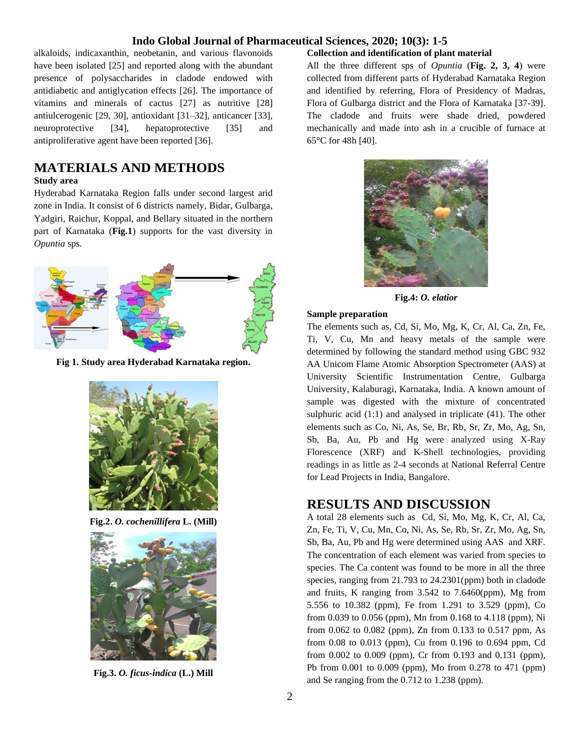alkaloids, indicaxanthin, neobetanin, and various flavonoids have been isolated [25] and reported along with the abundant presence of polysaccharides in cladode endowed with antidiabetic and antiglycation effects [26]. The importance of vitamins and minerals of cactus [27] as nutritive [28] antiulcerogenic [29, 30], antioxidant [31–32], anticancer [33], neuroprotective [34], hepatoprotective [35] and antiproliferative agent have been reported [36].

# **MATERIALS AND METHODS**

#### **Study area**

Hyderabad Karnataka Region falls under second largest arid zone in India. It consist of 6 districts namely, Bidar, Gulbarga, Yadgiri, Raichur, Koppal, and Bellary situated in the northern part of Karnataka (**Fig.1**) supports for the vast diversity in *Opuntia* sps.



**Fig 1. Study area Hyderabad Karnataka region.**



**Fig.2.** *O. cochenillifera* **L. (Mill)**



**Fig.3.** *O. ficus-indica* **(L.) Mill**

#### **Collection and identification of plant material**

All the three different sps of *Opuntia* (**Fig. 2, 3, 4**) were collected from different parts of Hyderabad Karnataka Region and identified by referring, Flora of Presidency of Madras, Flora of Gulbarga district and the Flora of Karnataka [37-39]. The cladode and fruits were shade dried, powdered mechanically and made into ash in a crucible of furnace at 65°C for 48h [40].



**Fig.4:** *O. elatior*

#### **Sample preparation**

The elements such as, Cd, Si, Mo, Mg, K, Cr, Al, Ca, Zn, Fe, Ti, V, Cu, Mn and heavy metals of the sample were determined by following the standard method using GBC 932 AA Unicom Flame Atomic Absorption Spectrometer (AAS) at University Scientific Instrumentation Centre, Gulbarga University, Kalaburagi, Karnataka, India. A known amount of sample was digested with the mixture of concentrated sulphuric acid (1:1) and analysed in triplicate (41). The other elements such as Co, Ni, As, Se, Br, Rb, Sr, Zr, Mo, Ag, Sn, Sb, Ba, Au, Pb and Hg were analyzed using X-Ray Florescence (XRF) and K-Shell technologies, providing readings in as little as 2-4 seconds at National Referral Centre for Lead Projects in India, Bangalore.

### **RESULTS AND DISCUSSION**

A total 28 elements such as Cd, Si, Mo, Mg, K, Cr, Al, Ca, Zn, Fe, Ti, V, Cu, Mn, Co, Ni, As, Se, Rb, Sr, Zr, Mo, Ag, Sn, Sb, Ba, Au, Pb and Hg were determined using AAS and XRF. The concentration of each element was varied from species to species. The Ca content was found to be more in all the three species, ranging from 21.793 to 24.2301(ppm) both in cladode and fruits, K ranging from 3.542 to 7.6460(ppm), Mg from 5.556 to 10.382 (ppm), Fe from 1.291 to 3.529 (ppm), Co from 0.039 to 0.056 (ppm), Mn from 0.168 to 4.118 (ppm), Ni from 0.062 to 0.082 (ppm), Zn from 0.133 to 0.517 ppm, As from 0.08 to 0.013 (ppm), Cu from 0.196 to 0.694 ppm, Cd from 0.002 to 0.009 (ppm), Cr from 0.193 and 0.131 (ppm), Pb from 0.001 to 0.009 (ppm), Mo from 0.278 to 471 (ppm) and Se ranging from the 0.712 to 1.238 (ppm).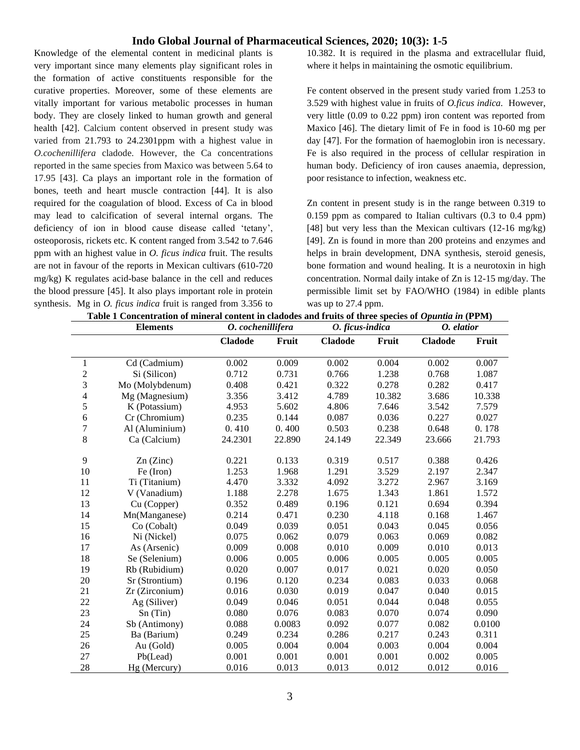Knowledge of the elemental content in medicinal plants is very important since many elements play significant roles in the formation of active constituents responsible for the curative properties. Moreover, some of these elements are vitally important for various metabolic processes in human body. They are closely linked to human growth and general health [42]. Calcium content observed in present study was varied from 21.793 to 24.2301ppm with a highest value in *O.cochenillifera* cladode. However, the Ca concentrations reported in the same species from Maxico was between 5.64 to 17.95 [43]. Ca plays an important role in the formation of bones, teeth and heart muscle contraction [44]. It is also required for the coagulation of blood. Excess of Ca in blood may lead to calcification of several internal organs. The deficiency of ion in blood cause disease called 'tetany', osteoporosis, rickets etc. K content ranged from 3.542 to 7.646 ppm with an highest value in *O. ficus indica* fruit. The results are not in favour of the reports in Mexican cultivars (610-720 mg/kg) K regulates acid-base balance in the cell and reduces the blood pressure [45]. It also plays important role in protein synthesis. Mg in *O. ficus indica* fruit is ranged from 3.356 to 10.382. It is required in the plasma and extracellular fluid, where it helps in maintaining the osmotic equilibrium.

Fe content observed in the present study varied from 1.253 to 3.529 with highest value in fruits of *O.ficus indica.* However, very little (0.09 to 0.22 ppm) iron content was reported from Maxico [46]. The dietary limit of Fe in food is 10-60 mg per day [47]. For the formation of haemoglobin iron is necessary. Fe is also required in the process of cellular respiration in human body. Deficiency of iron causes anaemia, depression, poor resistance to infection, weakness etc.

Zn content in present study is in the range between 0.319 to 0.159 ppm as compared to Italian cultivars (0.3 to 0.4 ppm) [48] but very less than the Mexican cultivars (12-16 mg/kg) [49]. Zn is found in more than 200 proteins and enzymes and helps in brain development, DNA synthesis, steroid genesis, bone formation and wound healing. It is a neurotoxin in high concentration. Normal daily intake of Zn is 12-15 mg/day. The permissible limit set by FAO/WHO (1984) in edible plants was up to 27.4 ppm.

| Table 1 Concentration of mineral content in cladodes and fruits of three species of <i>Opuntia in</i> (PPM) |  |
|-------------------------------------------------------------------------------------------------------------|--|
|                                                                                                             |  |

|                          | <b>Elements</b> | O. cochenillifera |        | O. ficus-indica |        | O. elatior     |        |
|--------------------------|-----------------|-------------------|--------|-----------------|--------|----------------|--------|
|                          |                 | <b>Cladode</b>    | Fruit  | <b>Cladode</b>  | Fruit  | <b>Cladode</b> | Fruit  |
| $\mathbf{1}$             | Cd (Cadmium)    | 0.002             | 0.009  | 0.002           | 0.004  | 0.002          | 0.007  |
| $\overline{c}$           | Si (Silicon)    | 0.712             | 0.731  | 0.766           | 1.238  | 0.768          | 1.087  |
| 3                        | Mo (Molybdenum) | 0.408             | 0.421  | 0.322           | 0.278  | 0.282          | 0.417  |
| $\overline{\mathcal{L}}$ | Mg (Magnesium)  | 3.356             | 3.412  | 4.789           | 10.382 | 3.686          | 10.338 |
| 5                        | K (Potassium)   | 4.953             | 5.602  | 4.806           | 7.646  | 3.542          | 7.579  |
| $\sqrt{6}$               | Cr (Chromium)   | 0.235             | 0.144  | 0.087           | 0.036  | 0.227          | 0.027  |
| $\overline{7}$           | Al (Aluminium)  | 0.410             | 0.400  | 0.503           | 0.238  | 0.648          | 0.178  |
| $\,8\,$                  | Ca (Calcium)    | 24.2301           | 22.890 | 24.149          | 22.349 | 23.666         | 21.793 |
| 9                        | $Zn$ (Zinc)     | 0.221             | 0.133  | 0.319           | 0.517  | 0.388          | 0.426  |
| 10                       | Fe (Iron)       | 1.253             | 1.968  | 1.291           | 3.529  | 2.197          | 2.347  |
| 11                       | Ti (Titanium)   | 4.470             | 3.332  | 4.092           | 3.272  | 2.967          | 3.169  |
| 12                       | V (Vanadium)    | 1.188             | 2.278  | 1.675           | 1.343  | 1.861          | 1.572  |
| 13                       | Cu (Copper)     | 0.352             | 0.489  | 0.196           | 0.121  | 0.694          | 0.394  |
| 14                       | Mn(Manganese)   | 0.214             | 0.471  | 0.230           | 4.118  | 0.168          | 1.467  |
| 15                       | Co (Cobalt)     | 0.049             | 0.039  | 0.051           | 0.043  | 0.045          | 0.056  |
| 16                       | Ni (Nickel)     | 0.075             | 0.062  | 0.079           | 0.063  | 0.069          | 0.082  |
| 17                       | As (Arsenic)    | 0.009             | 0.008  | 0.010           | 0.009  | 0.010          | 0.013  |
| 18                       | Se (Selenium)   | 0.006             | 0.005  | 0.006           | 0.005  | 0.005          | 0.005  |
| 19                       | Rb (Rubidium)   | 0.020             | 0.007  | 0.017           | 0.021  | 0.020          | 0.050  |
| 20                       | Sr (Strontium)  | 0.196             | 0.120  | 0.234           | 0.083  | 0.033          | 0.068  |
| 21                       | Zr (Zirconium)  | 0.016             | 0.030  | 0.019           | 0.047  | 0.040          | 0.015  |
| 22                       | Ag (Siliver)    | 0.049             | 0.046  | 0.051           | 0.044  | 0.048          | 0.055  |
| 23                       | Sn(Tin)         | 0.080             | 0.076  | 0.083           | 0.070  | 0.074          | 0.090  |
| 24                       | Sb (Antimony)   | 0.088             | 0.0083 | 0.092           | 0.077  | 0.082          | 0.0100 |
| 25                       | Ba (Barium)     | 0.249             | 0.234  | 0.286           | 0.217  | 0.243          | 0.311  |
| 26                       | Au (Gold)       | 0.005             | 0.004  | 0.004           | 0.003  | 0.004          | 0.004  |
| 27                       | Pb(Lead)        | 0.001             | 0.001  | 0.001           | 0.001  | 0.002          | 0.005  |
| 28                       | Hg (Mercury)    | 0.016             | 0.013  | 0.013           | 0.012  | 0.012          | 0.016  |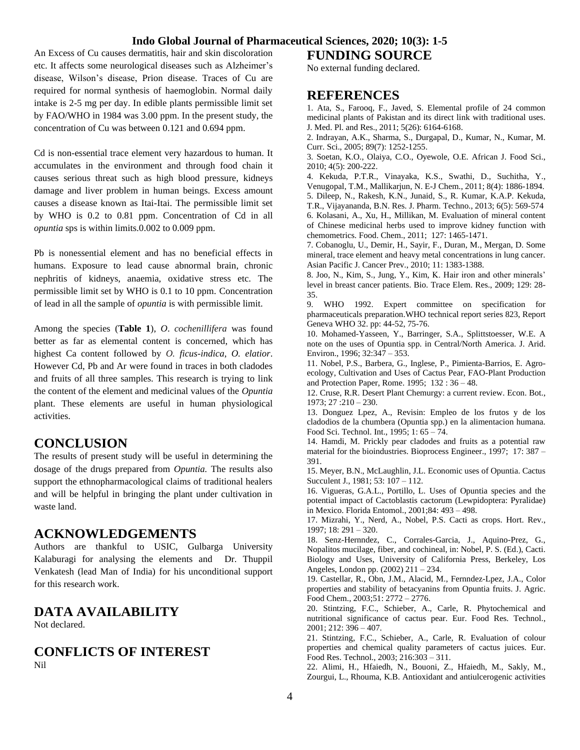An Excess of Cu causes dermatitis, hair and skin discoloration etc. It affects some neurological diseases such as Alzheimer's disease, Wilson's disease, Prion disease. Traces of Cu are required for normal synthesis of haemoglobin. Normal daily intake is 2-5 mg per day. In edible plants permissible limit set by FAO/WHO in 1984 was 3.00 ppm. In the present study, the concentration of Cu was between 0.121 and 0.694 ppm.

Cd is non-essential trace element very hazardous to human. It accumulates in the environment and through food chain it causes serious threat such as high blood pressure, kidneys damage and liver problem in human beings. Excess amount causes a disease known as Itai-Itai. The permissible limit set by WHO is 0.2 to 0.81 ppm. Concentration of Cd in all *opuntia* sps is within limits.0.002 to 0.009 ppm.

Pb is nonessential element and has no beneficial effects in humans. Exposure to lead cause abnormal brain, chronic nephritis of kidneys, anaemia, oxidative stress etc. The permissible limit set by WHO is 0.1 to 10 ppm. Concentration of lead in all the sample of *opuntia* is with permissible limit.

Among the species (**Table 1**), *O*. *cochenillifera* was found better as far as elemental content is concerned, which has highest Ca content followed by *O. ficus-indica*, *O. elatior*. However Cd, Pb and Ar were found in traces in both cladodes and fruits of all three samples. This research is trying to link the content of the element and medicinal values of the *Opuntia* plant. These elements are useful in human physiological activities.

## **CONCLUSION**

The results of present study will be useful in determining the dosage of the drugs prepared from *Opuntia.* The results also support the ethnopharmacological claims of traditional healers and will be helpful in bringing the plant under cultivation in waste land.

#### **ACKNOWLEDGEMENTS**

Authors are thankful to USIC, Gulbarga University Kalaburagi for analysing the elements and Dr. Thuppil Venkatesh (lead Man of India) for his unconditional support for this research work.

## **DATA AVAILABILITY**

Not declared.

### **CONFLICTS OF INTEREST** Nil

**FUNDING SOURCE** No external funding declared.

### **REFERENCES**

1. Ata, S., Farooq, F., Javed, S. Elemental profile of 24 common medicinal plants of Pakistan and its direct link with traditional uses. J. Med. Pl. and Res., 2011; 5(26): 6164-6168.

2. Indrayan, A.K., Sharma, S., Durgapal, D., Kumar, N., Kumar, M. Curr. Sci., 2005; 89(7): 1252-1255.

3. Soetan, K.O., Olaiya, C.O., Oyewole, O.E. African J. Food Sci., 2010; 4(5): 200-222.

4. Kekuda, P.T.R., Vinayaka, K.S., Swathi, D., Suchitha, Y., Venugopal, T.M., Mallikarjun, N. E-J Chem., 2011; 8(4): 1886-1894.

5. Dileep, N., Rakesh, K.N., Junaid, S., R. Kumar, K.A.P. Kekuda, T.R., Vijayananda, B.N. Res. J. Pharm. Techno., 2013; 6(5): 569-574 6. Kolasani, A., Xu, H., Millikan, M. Evaluation of mineral content of Chinese medicinal herbs used to improve kidney function with chemometrics. Food. Chem., 2011; 127: 1465-1471.

7. Cobanoglu, U., Demir, H., Sayir, F., Duran, M., Mergan, D. Some mineral, trace element and heavy metal concentrations in lung cancer. Asian Pacific J. Cancer Prev., 2010; 11: 1383-1388.

8. Joo, N., Kim, S., Jung, Y., Kim, K. Hair iron and other minerals' level in breast cancer patients. Bio. Trace Elem. Res., 2009; 129: 28- 35.

9. WHO 1992. Expert committee on specification for pharmaceuticals preparation.WHO technical report series 823, Report Geneva WHO 32. pp: 44-52, 75-76.

10. Mohamed-Yasseen, Y., Barringer, S.A., Splittstoesser, W.E. A note on the uses of Opuntia spp. in Central/North America. J. Arid. Environ., 1996;  $32:347 - 353$ .

11. Nobel, P.S., Barbera, G., Inglese, P., Pimienta-Barrios, E. Agroecology, Cultivation and Uses of Cactus Pear, FAO-Plant Production and Protection Paper, Rome. 1995; 132 : 36 – 48.

12. Cruse, R.R. Desert Plant Chemurgy: a current review. Econ. Bot., 1973; 27 :210 – 230.

13. Donguez Lpez, A., Revisin: Empleo de los frutos y de los cladodios de la chumbera (Opuntia spp.) en la alimentacion humana. Food Sci. Technol. Int., 1995; 1: 65 – 74.

14. Hamdi, M. Prickly pear cladodes and fruits as a potential raw material for the bioindustries. Bioprocess Engineer., 1997; 17: 387 – 391.

15. Meyer, B.N., McLaughlin, J.L. Economic uses of Opuntia. Cactus Succulent J., 1981; 53: 107 – 112.

16. Vigueras, G.A.L., Portillo, L. Uses of Opuntia species and the potential impact of Cactoblastis cactorum (Lewpidoptera: Pyralidae) in Mexico. Florida Entomol., 2001;84: 493 – 498.

17. Mizrahi, Y., Nerd, A., Nobel, P.S. Cacti as crops. Hort. Rev., 1997; 18: 291 – 320.

18. Senz-Hernndez, C., Corrales-Garcia, J., Aquino-Prez, G., Nopalitos mucilage, fiber, and cochineal, in: Nobel, P. S. (Ed.), Cacti. Biology and Uses, University of California Press, Berkeley, Los Angeles, London pp. (2002) 211 – 234.

19. Castellar, R., Obn, J.M., Alacid, M., Fernndez-Lpez, J.A., Color properties and stability of betacyanins from Opuntia fruits. J. Agric. Food Chem., 2003;51: 2772 – 2776.

20. Stintzing, F.C., Schieber, A., Carle, R. Phytochemical and nutritional significance of cactus pear. Eur. Food Res. Technol., 2001; 212: 396 – 407.

21. Stintzing, F.C., Schieber, A., Carle, R. Evaluation of colour properties and chemical quality parameters of cactus juices. Eur. Food Res. Technol., 2003; 216:303 – 311.

22. Alimi, H., Hfaiedh, N., Bouoni, Z., Hfaiedh, M., Sakly, M., Zourgui, L., Rhouma, K.B. Antioxidant and antiulcerogenic activities